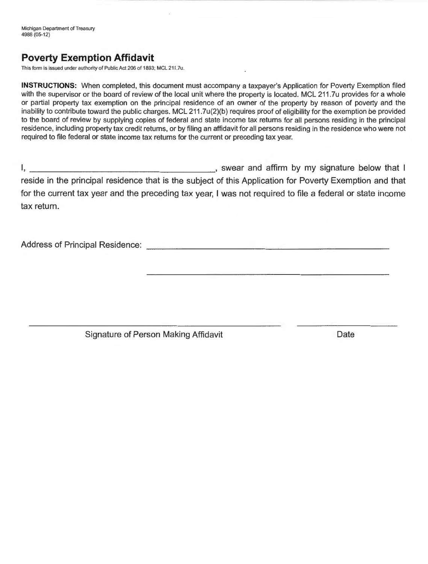Michigan Department of Treasury 4988 (05-12)

## **Poverty Exemption Affidavit**

This form is issued under authority of Public Act 206 of 1893; MCL 211.7u .

**INSTRUCTIONS:** When completed, this document must accompany a taxpayer's Application for Poverty Exemption filed with the supervisor or the board of review of the local unit where the property is located. MCL 211.7u provides for a whole or partial property tax exemption on the principal residence of an owner of the property by reason of poverty and the inability to contribute toward the public charges. MCL 211.7u(2)(b) requires proof of eligibility for the exemption be provided to the board of review by supplying copies of federal and state income tax returns for all persons residing in the principal residence, including property tax credit returns, or by filing an affidavit for all persons residing in the residence who were not required to file federal or state income tax returns for the current or preceding tax year.

I, \_\_\_\_\_\_\_\_\_\_\_\_\_\_\_\_\_\_ , swear and affirm by my signature below that I reside in the principal residence that is the subject of this Application for Poverty Exemption and that for the current tax year and the preceding tax year, I was not required to file a federal or state income tax return.

Address of Principal Residence: **Address of Principal Residence: Address of Principal Residence:** 

Signature of Person Making Affidavit **Date**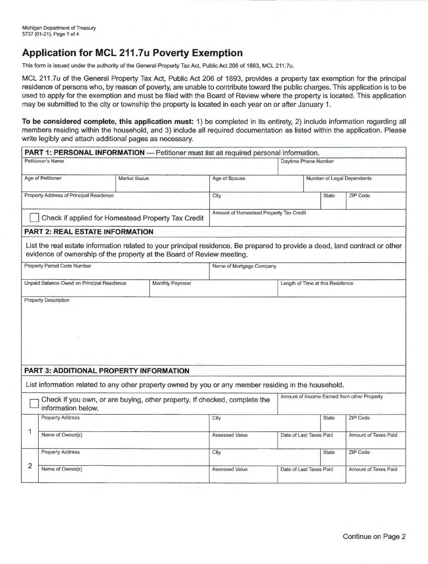## **Application for MCL 211.7u Poverty Exemption**

This form is issued under the authority of the General Property Tax Act, Public Act 206 of 1893, MCL 211.?u.

MCL 211.7u of the General Property Tax Act, Public Act 206 of 1893, provides a property tax exemption for the principal residence of persons who, by reason of poverty, are unable to contribute toward the public charges. This application is to be used to apply for the exemption and must be filed with the Board of Review where the property is located. This application may be submitted to the city or township the property is located in each year on or after January 1.

**To be considered complete, this application must:** 1) be completed in its entirety, 2) include information regarding all members residing within the household, and 3) include all required documentation as listed within the application. Please write legibly and attach additional pages as necessary.

|                                                    | PART 1: PERSONAL INFORMATION - Petitioner must list all required personal information.                                                                                                               |                       |                                                                           |                                         |                                  |              |                                             |  |  |
|----------------------------------------------------|------------------------------------------------------------------------------------------------------------------------------------------------------------------------------------------------------|-----------------------|---------------------------------------------------------------------------|-----------------------------------------|----------------------------------|--------------|---------------------------------------------|--|--|
|                                                    | Petitioner's Name                                                                                                                                                                                    | Daytime Phone Number  |                                                                           |                                         |                                  |              |                                             |  |  |
|                                                    | Age of Petitioner                                                                                                                                                                                    | <b>Marital Status</b> |                                                                           |                                         |                                  |              | Number of Legal Dependents                  |  |  |
|                                                    | Property Address of Principal Residence                                                                                                                                                              |                       |                                                                           | City                                    |                                  | <b>State</b> | ZIP Code                                    |  |  |
| Check if applied for Homestead Property Tax Credit |                                                                                                                                                                                                      |                       |                                                                           | Amount of Homestead Property Tax Credit |                                  |              |                                             |  |  |
|                                                    | <b>PART 2: REAL ESTATE INFORMATION</b>                                                                                                                                                               |                       |                                                                           |                                         |                                  |              |                                             |  |  |
|                                                    | List the real estate information related to your principal residence. Be prepared to provide a deed, land contract or other<br>evidence of ownership of the property at the Board of Review meeting. |                       |                                                                           |                                         |                                  |              |                                             |  |  |
|                                                    | Property Parcel Code Number                                                                                                                                                                          |                       |                                                                           | Name of Mortgage Company                |                                  |              |                                             |  |  |
|                                                    | Unpaid Balance Owed on Principal Residence                                                                                                                                                           |                       | Monthly Payment                                                           |                                         | Length of Time at this Residence |              |                                             |  |  |
|                                                    |                                                                                                                                                                                                      |                       |                                                                           |                                         |                                  |              |                                             |  |  |
|                                                    | <b>PART 3: ADDITIONAL PROPERTY INFORMATION</b>                                                                                                                                                       |                       |                                                                           |                                         |                                  |              |                                             |  |  |
|                                                    | List information related to any other property owned by you or any member residing in the household.                                                                                                 |                       |                                                                           |                                         |                                  |              |                                             |  |  |
|                                                    | information below.                                                                                                                                                                                   |                       | Check if you own, or are buying, other property. If checked, complete the |                                         |                                  |              | Amount of Income Earned from other Property |  |  |
|                                                    | <b>Property Address</b>                                                                                                                                                                              |                       |                                                                           | City                                    |                                  | <b>State</b> | ZIP Code                                    |  |  |
| 1                                                  | Name of Owner(s)                                                                                                                                                                                     |                       |                                                                           | <b>Assessed Value</b>                   | Date of Last Taxes Paid          |              | Amount of Taxes Paid                        |  |  |
|                                                    | <b>Property Address</b>                                                                                                                                                                              |                       |                                                                           | City                                    |                                  | State        | ZIP Code                                    |  |  |
| $\overline{2}$                                     | Name of Owner(s)                                                                                                                                                                                     |                       |                                                                           | <b>Assessed Value</b>                   | Date of Last Taxes Paid          |              | Amount of Taxes Paid                        |  |  |
|                                                    |                                                                                                                                                                                                      |                       |                                                                           |                                         |                                  |              |                                             |  |  |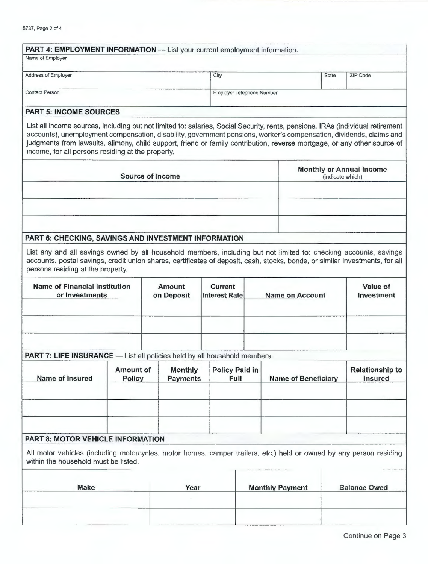| <b>PART 4: EMPLOYMENT INFORMATION - List your current employment information.</b>                                                                                                                                                                                                                                                                                                                                                      |                                   |                                   |                                        |                            |                  |                                   |
|----------------------------------------------------------------------------------------------------------------------------------------------------------------------------------------------------------------------------------------------------------------------------------------------------------------------------------------------------------------------------------------------------------------------------------------|-----------------------------------|-----------------------------------|----------------------------------------|----------------------------|------------------|-----------------------------------|
| Name of Employer                                                                                                                                                                                                                                                                                                                                                                                                                       |                                   |                                   |                                        |                            |                  |                                   |
| Address of Employer                                                                                                                                                                                                                                                                                                                                                                                                                    |                                   |                                   | City                                   |                            | State            | ZIP Code                          |
| <b>Contact Person</b>                                                                                                                                                                                                                                                                                                                                                                                                                  |                                   |                                   | Employer Telephone Number              |                            |                  |                                   |
|                                                                                                                                                                                                                                                                                                                                                                                                                                        |                                   |                                   |                                        |                            |                  |                                   |
| <b>PART 5: INCOME SOURCES</b>                                                                                                                                                                                                                                                                                                                                                                                                          |                                   |                                   |                                        |                            |                  |                                   |
| List all income sources, including but not limited to: salaries, Social Security, rents, pensions, IRAs (individual retirement<br>accounts), unemployment compensation, disability, government pensions, worker's compensation, dividends, claims and<br>judgments from lawsuits, alimony, child support, friend or family contribution, reverse mortgage, or any other source of<br>income, for all persons residing at the property. |                                   |                                   |                                        |                            |                  |                                   |
|                                                                                                                                                                                                                                                                                                                                                                                                                                        | <b>Source of Income</b>           |                                   |                                        |                            | (indicate which) | <b>Monthly or Annual Income</b>   |
|                                                                                                                                                                                                                                                                                                                                                                                                                                        |                                   |                                   |                                        |                            |                  |                                   |
| PART 6: CHECKING, SAVINGS AND INVESTMENT INFORMATION                                                                                                                                                                                                                                                                                                                                                                                   |                                   |                                   |                                        |                            |                  |                                   |
| List any and all savings owned by all household members, including but not limited to: checking accounts, savings<br>accounts, postal savings, credit union shares, certificates of deposit, cash, stocks, bonds, or similar investments, for all<br>persons residing at the property.                                                                                                                                                 |                                   |                                   |                                        |                            |                  |                                   |
| <b>Name of Financial Institution</b><br>or Investments                                                                                                                                                                                                                                                                                                                                                                                 |                                   | <b>Amount</b><br>on Deposit       | <b>Current</b><br><b>Interest Rate</b> | <b>Name on Account</b>     |                  | Value of<br>Investment            |
|                                                                                                                                                                                                                                                                                                                                                                                                                                        |                                   |                                   |                                        |                            |                  |                                   |
| <b>PART 7: LIFE INSURANCE</b> - List all policies held by all household members.                                                                                                                                                                                                                                                                                                                                                       |                                   |                                   |                                        |                            |                  |                                   |
| <b>Name of Insured</b>                                                                                                                                                                                                                                                                                                                                                                                                                 | <b>Amount of</b><br><b>Policy</b> | <b>Monthly</b><br><b>Payments</b> | <b>Policy Paid in</b><br>Full          | <b>Name of Beneficiary</b> |                  | <b>Relationship to</b><br>Insured |
|                                                                                                                                                                                                                                                                                                                                                                                                                                        |                                   |                                   |                                        |                            |                  |                                   |
| <b>PART 8: MOTOR VEHICLE INFORMATION</b>                                                                                                                                                                                                                                                                                                                                                                                               |                                   |                                   |                                        |                            |                  |                                   |
| All motor vehicles (including motorcycles, motor homes, camper trailers, etc.) held or owned by any person residing<br>within the household must be listed.                                                                                                                                                                                                                                                                            |                                   |                                   |                                        |                            |                  |                                   |
| <b>Make</b>                                                                                                                                                                                                                                                                                                                                                                                                                            |                                   | Year                              |                                        | <b>Monthly Payment</b>     |                  | <b>Balance Owed</b>               |
|                                                                                                                                                                                                                                                                                                                                                                                                                                        |                                   |                                   |                                        |                            |                  |                                   |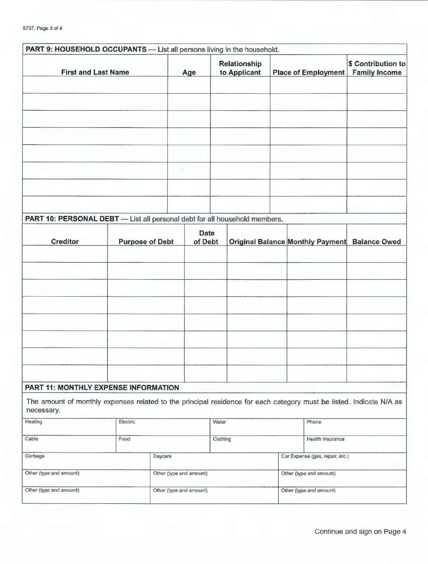| Relationship<br>to Applicant<br><b>First and Last Name</b><br><b>Place of Employment</b><br><b>Family Income</b><br>Age<br>PART 10: PERSONAL DEBT - List all personal debt for all household members.<br><b>Date</b><br><b>Creditor</b><br>of Debt<br><b>Original Balance Monthly Payment</b><br><b>Balance Owed</b><br><b>Purpose of Debt</b><br>PART 11: MONTHLY EXPENSE INFORMATION<br>The amount of monthly expenses related to the principal residence for each category must be listed. Indicate N/A as<br>necessary.<br>Heating<br>Electric<br>Water<br>Phone<br>Cable<br>Food<br>Clothing<br>Health Insurance<br>Car Expense (gas, repair, etc.)<br>Garbage<br>Daycare<br>Other (type and amount)<br>Other (type and amount)<br>Other (type and amount)<br>Other (type and amount)<br>Other (type and amount)<br>Other (type and amount) | PART 9: HOUSEHOLD OCCUPANTS - List all persons living in the household. |  |  |  |  |  |  |  |                    |
|--------------------------------------------------------------------------------------------------------------------------------------------------------------------------------------------------------------------------------------------------------------------------------------------------------------------------------------------------------------------------------------------------------------------------------------------------------------------------------------------------------------------------------------------------------------------------------------------------------------------------------------------------------------------------------------------------------------------------------------------------------------------------------------------------------------------------------------------------|-------------------------------------------------------------------------|--|--|--|--|--|--|--|--------------------|
|                                                                                                                                                                                                                                                                                                                                                                                                                                                                                                                                                                                                                                                                                                                                                                                                                                                  |                                                                         |  |  |  |  |  |  |  | \$ Contribution to |
|                                                                                                                                                                                                                                                                                                                                                                                                                                                                                                                                                                                                                                                                                                                                                                                                                                                  |                                                                         |  |  |  |  |  |  |  |                    |
|                                                                                                                                                                                                                                                                                                                                                                                                                                                                                                                                                                                                                                                                                                                                                                                                                                                  |                                                                         |  |  |  |  |  |  |  |                    |
|                                                                                                                                                                                                                                                                                                                                                                                                                                                                                                                                                                                                                                                                                                                                                                                                                                                  |                                                                         |  |  |  |  |  |  |  |                    |
|                                                                                                                                                                                                                                                                                                                                                                                                                                                                                                                                                                                                                                                                                                                                                                                                                                                  |                                                                         |  |  |  |  |  |  |  |                    |
|                                                                                                                                                                                                                                                                                                                                                                                                                                                                                                                                                                                                                                                                                                                                                                                                                                                  |                                                                         |  |  |  |  |  |  |  |                    |
|                                                                                                                                                                                                                                                                                                                                                                                                                                                                                                                                                                                                                                                                                                                                                                                                                                                  |                                                                         |  |  |  |  |  |  |  |                    |
|                                                                                                                                                                                                                                                                                                                                                                                                                                                                                                                                                                                                                                                                                                                                                                                                                                                  |                                                                         |  |  |  |  |  |  |  |                    |
|                                                                                                                                                                                                                                                                                                                                                                                                                                                                                                                                                                                                                                                                                                                                                                                                                                                  |                                                                         |  |  |  |  |  |  |  |                    |
|                                                                                                                                                                                                                                                                                                                                                                                                                                                                                                                                                                                                                                                                                                                                                                                                                                                  |                                                                         |  |  |  |  |  |  |  |                    |
|                                                                                                                                                                                                                                                                                                                                                                                                                                                                                                                                                                                                                                                                                                                                                                                                                                                  |                                                                         |  |  |  |  |  |  |  |                    |
|                                                                                                                                                                                                                                                                                                                                                                                                                                                                                                                                                                                                                                                                                                                                                                                                                                                  |                                                                         |  |  |  |  |  |  |  |                    |
|                                                                                                                                                                                                                                                                                                                                                                                                                                                                                                                                                                                                                                                                                                                                                                                                                                                  |                                                                         |  |  |  |  |  |  |  |                    |
|                                                                                                                                                                                                                                                                                                                                                                                                                                                                                                                                                                                                                                                                                                                                                                                                                                                  |                                                                         |  |  |  |  |  |  |  |                    |
|                                                                                                                                                                                                                                                                                                                                                                                                                                                                                                                                                                                                                                                                                                                                                                                                                                                  |                                                                         |  |  |  |  |  |  |  |                    |
|                                                                                                                                                                                                                                                                                                                                                                                                                                                                                                                                                                                                                                                                                                                                                                                                                                                  |                                                                         |  |  |  |  |  |  |  |                    |
|                                                                                                                                                                                                                                                                                                                                                                                                                                                                                                                                                                                                                                                                                                                                                                                                                                                  |                                                                         |  |  |  |  |  |  |  |                    |
|                                                                                                                                                                                                                                                                                                                                                                                                                                                                                                                                                                                                                                                                                                                                                                                                                                                  |                                                                         |  |  |  |  |  |  |  |                    |
|                                                                                                                                                                                                                                                                                                                                                                                                                                                                                                                                                                                                                                                                                                                                                                                                                                                  |                                                                         |  |  |  |  |  |  |  |                    |
|                                                                                                                                                                                                                                                                                                                                                                                                                                                                                                                                                                                                                                                                                                                                                                                                                                                  |                                                                         |  |  |  |  |  |  |  |                    |
|                                                                                                                                                                                                                                                                                                                                                                                                                                                                                                                                                                                                                                                                                                                                                                                                                                                  |                                                                         |  |  |  |  |  |  |  |                    |
|                                                                                                                                                                                                                                                                                                                                                                                                                                                                                                                                                                                                                                                                                                                                                                                                                                                  |                                                                         |  |  |  |  |  |  |  |                    |
|                                                                                                                                                                                                                                                                                                                                                                                                                                                                                                                                                                                                                                                                                                                                                                                                                                                  |                                                                         |  |  |  |  |  |  |  |                    |
|                                                                                                                                                                                                                                                                                                                                                                                                                                                                                                                                                                                                                                                                                                                                                                                                                                                  |                                                                         |  |  |  |  |  |  |  |                    |
|                                                                                                                                                                                                                                                                                                                                                                                                                                                                                                                                                                                                                                                                                                                                                                                                                                                  |                                                                         |  |  |  |  |  |  |  |                    |
|                                                                                                                                                                                                                                                                                                                                                                                                                                                                                                                                                                                                                                                                                                                                                                                                                                                  |                                                                         |  |  |  |  |  |  |  |                    |
|                                                                                                                                                                                                                                                                                                                                                                                                                                                                                                                                                                                                                                                                                                                                                                                                                                                  |                                                                         |  |  |  |  |  |  |  |                    |
|                                                                                                                                                                                                                                                                                                                                                                                                                                                                                                                                                                                                                                                                                                                                                                                                                                                  |                                                                         |  |  |  |  |  |  |  |                    |
|                                                                                                                                                                                                                                                                                                                                                                                                                                                                                                                                                                                                                                                                                                                                                                                                                                                  |                                                                         |  |  |  |  |  |  |  |                    |
|                                                                                                                                                                                                                                                                                                                                                                                                                                                                                                                                                                                                                                                                                                                                                                                                                                                  |                                                                         |  |  |  |  |  |  |  |                    |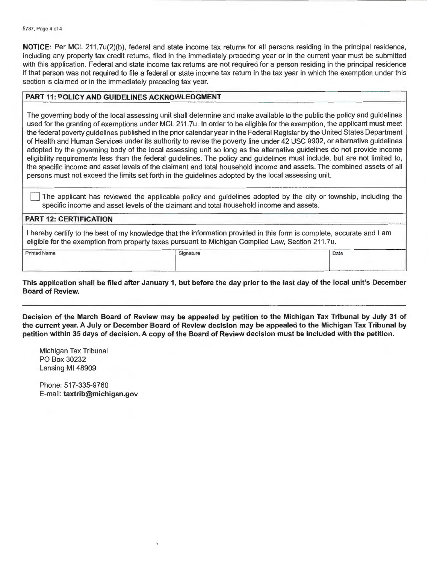**NOTICE:** Per MCL 211.7u(2)(b), federal and state income tax returns for all persons residing in the principal residence, including any property tax credit returns, filed in the immediately preceding year or in the current year must be submitted with this application. Federal and state income tax returns are not required for a person residing in the principal residence if that person was not required to file a federal or state income tax return in the tax year in which the exemption under this section is claimed or in the immediately preceding tax year.

## **PART 11: POLICY AND GUIDELINES ACKNOWLEDGMENT**

The governing body of the local assessing unit shall determine and make available to the public the policy and guidelines used for the granting of exemptions under MCL 211 .7u. In order to be eligible for the exemption, the applicant must meet the federal poverty guidelines published in the prior calendar year in the Federal Register by the United States Department of Health and Human Services under its authority to revise the poverty line under 42 USC 9902, or alternative guidelines adopted by the governing body of the local assessing unit so long as the alternative guidelines do not provide income eligibility requirements less than the federal guidelines. The policy and guidelines must include, but are not limited to, the specific income and asset levels of the claimant and total household income and assets. The combined assets of all persons must not exceed the limits set forth in the guidelines adopted by the local assessing unit.

The applicant has reviewed the applicable policy and guidelines adopted by the city or township, including the specific income and asset levels of the claimant and total household income and assets.

## **PART 12: CERTIFICATION**

I hereby certify to the best of my knowledge that the information provided in this form is complete, accurate and I am eligible for the exemption from property taxes pursuant to Michigan Compiled Law, Section 211.7u.

Printed Name Signature Date of Date of Date of Date of Date of Date of Date of Date of Date of Date of Date of Date of Date of Date of Date of Date of Date of Date of Date of Date of Date of Date of Date of Date of Date of

**This application shall be filed after January 1, but before the day prior to the last day of the local unit's December Board of Review.** 

**Decision of the March Board of Review may be appealed by petition to the Michigan Tax Tribunal by July 31 of the current year. A July or December Board of Review decision may be appealed to the Michigan Tax Tribunal by petition within 35 days of decision. A copy of the Board of Review decision must be included with the petition.** 

Michigan Tax Tribunal PO Box 30232 Lansing Ml 48909

Phone: 517-335-9760 E-mail: **taxtrib@michigan.gov**